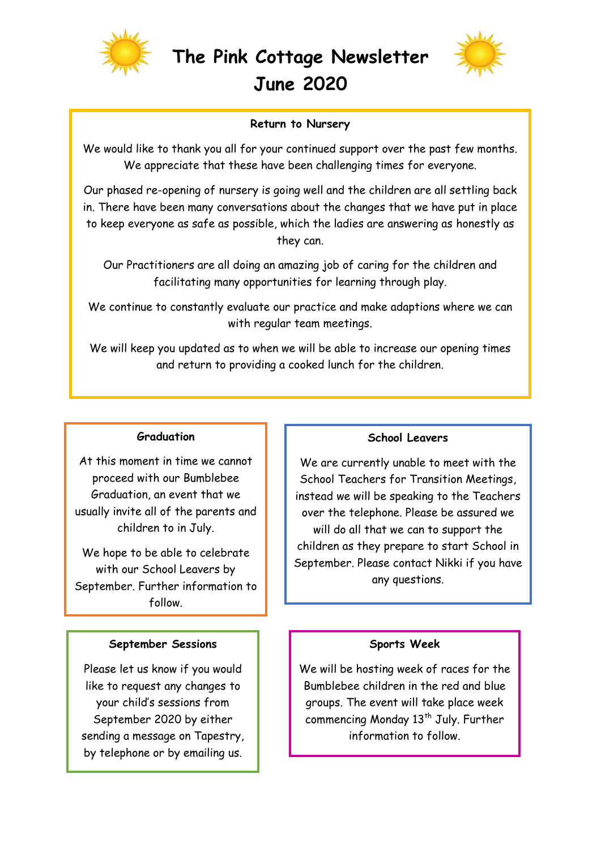



### **Return to Nursery**

We would like to thank you all for your continued support over the past few months. We appreciate that these have been challenging times for everyone.

Our phased re-opening of nursery is going well and the children are all settling back in. There have been many conversations about the changes that we have put in place to keep everyone as safe as possible, which the ladies are answering as honestly as they can.

Our Practitioners are all doing an amazing job of caring for the children and facilitating many opportunities for learning through play.

We continue to constantly evaluate our practice and make adaptions where we can with regular team meetings.

We will keep you updated as to when we will be able to increase our opening times and return to providing a cooked lunch for the children.

## **Graduation**

At this moment in time we cannot proceed with our Bumblebee Graduation, an event that we usually invite all of the parents and children to in July.

We hope to be able to celebrate with our School Leavers by September. Further information to follow.

## **September Sessions**

Please let us know if you would like to request any changes to your child's sessions from September 2020 by either sending a message on Tapestry, by telephone or by emailing us.

#### **School Leavers**

We are currently unable to meet with the School Teachers for Transition Meetings, instead we will be speaking to the Teachers over the telephone. Please be assured we will do all that we can to support the children as they prepare to start School in September. Please contact Nikki if you have any questions.

#### **Sports Week**

We will be hosting week of races for the Bumblebee children in the red and blue groups. The event will take place week commencing Monday 13<sup>th</sup> July. Further information to follow.